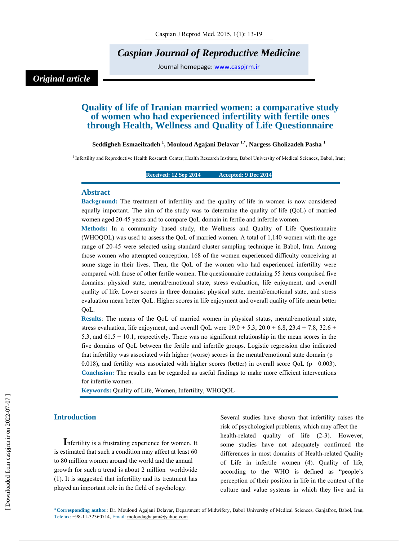# *Caspian Journal of Reproductive Medicine*

Journal homepage: www.caspjrm.ir

# *Original article*

# **Quality of life of Iranian married women: a comparative study of women who had experienced infertility with fertile ones through Health, Wellness and Quality of Life Questionnaire**

## **Seddigheh Esmaeilzadeh 1 , Mouloud Agajani Delavar 1,\*, Nargess Gholizadeh Pasha 1**

<sup>1</sup> Infertility and Reproductive Health Research Center, Health Research Institute, Babol University of Medical Sciences, Babol, Iran;

#### **Received: 12 Sep 2014 Accepted: 9 Dec 2014**

#### **Abstract**

**Background:** The treatment of infertility and the quality of life in women is now considered equally important. The aim of the study was to determine the quality of life (QoL) of married women aged 20-45 years and to compare QoL domain in fertile and infertile women.

**Methods:** In a community based study, the Wellness and Quality of Life Questionnaire (WHOQOL) was used to assess the QoL of married women. A total of 1,140 women with the age range of 20-45 were selected using standard cluster sampling technique in Babol, Iran. Among those women who attempted conception, 168 of the women experienced difficulty conceiving at some stage in their lives. Then, the QoL of the women who had experienced infertility were compared with those of other fertile women. The questionnaire containing 55 items comprised five domains: physical state, mental/emotional state, stress evaluation, life enjoyment, and overall quality of life. Lower scores in three domains: physical state, mental/emotional state, and stress evaluation mean better QoL. Higher scores in life enjoyment and overall quality of life mean better QoL.

**Results**: The means of the QoL of married women in physical status, mental/emotional state, stress evaluation, life enjoyment, and overall QoL were  $19.0 \pm 5.3$ ,  $20.0 \pm 6.8$ ,  $23.4 \pm 7.8$ ,  $32.6 \pm 7.8$ 5.3, and  $61.5 \pm 10.1$ , respectively. There was no significant relationship in the mean scores in the five domains of QoL between the fertile and infertile groups. Logistic regression also indicated that infertility was associated with higher (worse) scores in the mental/emotional state domain (p= 0.018), and fertility was associated with higher scores (better) in overall score QoL ( $p= 0.003$ ). **Conclusion:** The results can be regarded as useful findings to make more efficient interventions for infertile women.

**Keywords:** Quality of Life, Women, Infertility, WHOQOL

# **Introduction**

**I**nfertility is a frustrating experience for women. It is estimated that such a condition may affect at least 60 to 80 million women around the world and the annual growth for such a trend is about 2 million worldwide (1). It is suggested that infertility and its treatment has played an important role in the field of psychology.

Several studies have shown that infertility raises the risk of psychological problems, which may affect the health-related quality of life (2-3). However, some studies have not adequately confirmed the differences in most domains of Health-related Quality of Life in infertile women (4). Quality of life, according to the WHO is defined as "people's perception of their position in life in the context of the culture and value systems in which they live and in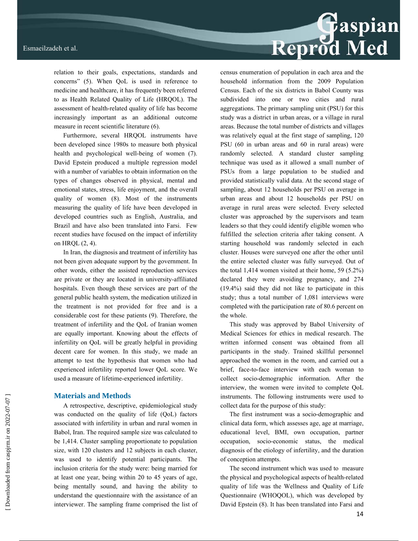

relation to their goals, expectations, standards and concerns" (5). When QoL is used in reference to medicine and healthcare, it has frequently been referred to as Health Related Quality of Life (HRQOL). The assessment of health-related quality of life has become increasingly important as an additional outcome measure in recent scientific literature (6).

Furthermore, several HRQOL instruments have been developed since 1980s to measure both physical health and psychological well-being of women (7). David Epstein produced a multiple regression model with a number of variables to obtain information on the types of changes observed in physical, mental and emotional states, stress, life enjoyment, and the overall quality of women (8). Most of the instruments measuring the quality of life have been developed in developed countries such as English, Australia, and Brazil and have also been translated into Farsi. Few recent studies have focused on the impact of infertility on HRQL (2, 4).

In Iran, the diagnosis and treatment of infertility has not been given adequate support by the government. In other words, either the assisted reproduction services are private or they are located in university-affiliated hospitals. Even though these services are part of the general public health system, the medication utilized in the treatment is not provided for free and is a considerable cost for these patients (9). Therefore, the treatment of infertility and the QoL of Iranian women are equally important. Knowing about the effects of infertility on QoL will be greatly helpful in providing decent care for women. In this study, we made an attempt to test the hypothesis that women who had experienced infertility reported lower QoL score. We used a measure of lifetime-experienced infertility.

# **Materials and Methods**

A retrospective, descriptive, epidemiological study was conducted on the quality of life (QoL) factors associated with infertility in urban and rural women in Babol, Iran. The required sample size was calculated to be 1,414. Cluster sampling proportionate to population size, with 120 clusters and 12 subjects in each cluster, was used to identify potential participants. The inclusion criteria for the study were: being married for at least one year, being within 20 to 45 years of age, being mentally sound, and having the ability to understand the questionnaire with the assistance of an interviewer. The sampling frame comprised the list of census enumeration of population in each area and the household information from the 2009 Population Census. Each of the six districts in Babol County was subdivided into one or two cities and rural aggregations. The primary sampling unit (PSU) for this study was a district in urban areas, or a village in rural areas. Because the total number of districts and villages was relatively equal at the first stage of sampling, 120 PSU (60 in urban areas and 60 in rural areas) were randomly selected. A standard cluster sampling technique was used as it allowed a small number of PSUs from a large population to be studied and provided statistically valid data. At the second stage of sampling, about 12 households per PSU on average in urban areas and about 12 households per PSU on average in rural areas were selected. Every selected cluster was approached by the supervisors and team leaders so that they could identify eligible women who fulfilled the selection criteria after taking consent. A starting household was randomly selected in each cluster. Houses were surveyed one after the other until the entire selected cluster was fully surveyed. Out of the total 1,414 women visited at their home, 59 (5.2%) declared they were avoiding pregnancy, and 274 (19.4%) said they did not like to participate in this study; thus a total number of 1,081 interviews were completed with the participation rate of 80.6 percent on the whole.

This study was approved by Babol University of Medical Sciences for ethics in medical research. The written informed consent was obtained from all participants in the study. Trained skillful personnel approached the women in the room, and carried out a brief, face-to-face interview with each woman to collect socio-demographic information. After the interview, the women were invited to complete QoL instruments. The following instruments were used to collect data for the purpose of this study:

The first instrument was a socio-demographic and clinical data form, which assesses age, age at marriage, educational level, BMI, own occupation, partner occupation, socio-economic status, the medical diagnosis of the etiology of infertility, and the duration of conception attempts.

The second instrument which was used to measure the physical and psychological aspects of health-related quality of life was the Wellness and Quality of Life Questionnaire (WHOQOL), which was developed by David Epstein (8). It has been translated into Farsi and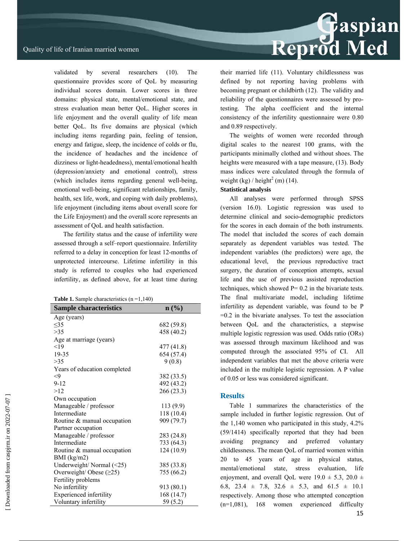validated by several researchers (10). The questionnaire provides score of QoL by measuring individual scores domain. Lower scores in three domains: physical state, mental/emotional state, and stress evaluation mean better QoL. Higher scores in life enjoyment and the overall quality of life mean better QoL. Its five domains are physical (which including items regarding pain, feeling of tension, energy and fatigue, sleep, the incidence of colds or flu, the incidence of headaches and the incidence of dizziness or light-headedness), mental/emotional health (depression/anxiety and emotional control), stress (which includes items regarding general well-being, emotional well-being, significant relationships, family, health, sex life, work, and coping with daily problems), life enjoyment (including items about overall score for the Life Enjoyment) and the overall score represents an assessment of QoL and health satisfaction.

The fertility status and the cause of infertility were assessed through a self–report questionnaire. Infertility referred to a delay in conception for least 12-months of unprotected intercourse. Lifetime infertility in this study is referred to couples who had experienced infertility, as defined above, for at least time during

| <b>Table 1.</b> Sample characteristics $(n=1,140)$ |  |
|----------------------------------------------------|--|
|----------------------------------------------------|--|

| <b>Sample characteristics</b>  | $\mathbf{n}(\%)$ |
|--------------------------------|------------------|
| Age (years)                    |                  |
| $\leq$ 35                      | 682 (59.8)       |
| >35                            | 458 (40.2)       |
| Age at marriage (years)        |                  |
| $<$ 19                         | 477 (41.8)       |
| 19-35                          | 654 (57.4)       |
| >35                            | 9(0.8)           |
| Years of education completed   |                  |
| $\leq$ 9                       | 382 (33.5)       |
| $9 - 12$                       | 492 (43.2)       |
| >12                            | 266 (23.3)       |
| Own occupation                 |                  |
| Manageable / professor         | 113 (9.9)        |
| Intermediate                   | 118 (10.4)       |
| Routine & manual occupation    | 909 (79.7)       |
| Partner occupation             |                  |
| Manageable / professor         | 283 (24.8)       |
| Intermediate                   | 733 (64.3)       |
| Routine & manual occupation    | 124(10.9)        |
| BMI (kg/m2)                    |                  |
| Underweight/Normal (<25)       | 385 (33.8)       |
| Overweight/Obese $(\geq 25)$   | 755 (66.2)       |
| Fertility problems             |                  |
| No infertility                 | 913 (80.1)       |
| <b>Experienced</b> infertility | 168 (14.7)       |
| Voluntary infertility          | 59 (5.2)         |

their married life (11). Voluntary childlessness was defined by not reporting having problems with becoming pregnant or childbirth (12). The validity and reliability of the questionnaires were assessed by protesting. The alpha coefficient and the internal consistency of the infertility questionnaire were 0.80 and 0.89 respectively.

The weights of women were recorded through digital scales to the nearest 100 grams, with the participants minimally clothed and without shoes. The heights were measured with a tape measure, (13). Body mass indices were calculated through the formula of weight  $(kg) /$  height<sup>2</sup> (m) (14).

## **Statistical analysis**

All analyses were performed through SPSS (version 16.0). Logistic regression was used to determine clinical and socio-demographic predictors for the scores in each domain of the both instruments. The model that included the scores of each domain separately as dependent variables was tested. The independent variables (the predictors) were age, the educational level, the previous reproductive tract surgery, the duration of conception attempts, sexual life and the use of previous assisted reproduction techniques, which showed  $P = 0.2$  in the bivariate tests. The final multivariate model, including lifetime infertility as dependent variable, was found to be P =0.2 in the bivariate analyses. To test the association between QoL and the characteristics, a stepwise multiple logistic regression was used. Odds ratio (ORs) was assessed through maximum likelihood and was computed through the associated 95% of CI. All independent variables that met the above criteria were included in the multiple logistic regression. A P value of 0.05 or less was considered significant.

# **Results**

Table 1 summarizes the characteristics of the sample included in further logistic regression. Out of the 1,140 women who participated in this study, 4.2% (59/1414) specifically reported that they had been avoiding pregnancy and preferred voluntary childlessness. The mean QoL of married women within 20 to 45 years of age in physical status, mental/emotional state, stress evaluation, life enjoyment, and overall QoL were  $19.0 \pm 5.3$ ,  $20.0 \pm 1$ 6.8, 23.4  $\pm$  7.8, 32.6  $\pm$  5.3, and 61.5  $\pm$  10.1 respectively. Among those who attempted conception (n=1,081), 168 women experienced difficulty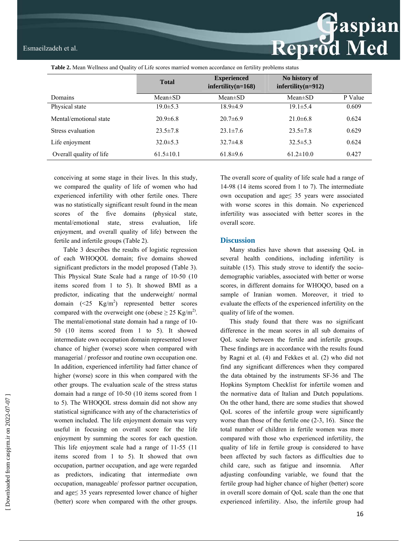**Table 2.** Mean Wellness and Quality of Life scores married women accordance on fertility problems status

|                         | <b>Total</b>    | <b>Experienced</b><br>$\text{infertility}(n=168)$ | No history of<br>$\text{inf}$ ertility(n=912) |         |
|-------------------------|-----------------|---------------------------------------------------|-----------------------------------------------|---------|
| Domains                 | $Mean \pm SD$   | $Mean \pm SD$                                     | Mean $\pm$ SD                                 | P Value |
| Physical state          | $19.0 \pm 5.3$  | $18.9{\pm}4.9$                                    | $19.1 \pm 5.4$                                | 0.609   |
| Mental/emotional state  | $20.9\pm 6.8$   | $20.7\pm 6.9$                                     | $21.0\pm 6.8$                                 | 0.624   |
| Stress evaluation       | $23.5 \pm 7.8$  | $23.1 \pm 7.6$                                    | $23.5 \pm 7.8$                                | 0.629   |
| Life enjoyment          | $32.0 \pm 5.3$  | $32.7\pm4.8$                                      | $32.5 \pm 5.3$                                | 0.624   |
| Overall quality of life | $61.5 \pm 10.1$ | $61.8+9.6$                                        | $61.2 \pm 10.0$                               | 0.427   |

conceiving at some stage in their lives. In this study, we compared the quality of life of women who had experienced infertility with other fertile ones. There was no statistically significant result found in the mean scores of the five domains (physical state, mental/emotional state, stress evaluation, life enjoyment, and overall quality of life) between the fertile and infertile groups (Table 2).

Table 3 describes the results of logistic regression of each WHOQOL domain; five domains showed significant predictors in the model proposed (Table 3). This Physical State Scale had a range of 10-50 (10 items scored from 1 to 5). It showed BMI as a predictor, indicating that the underweight/ normal domain  $(\leq 25 \text{ Kg/m}^2)$  represented better scores compared with the overweight one (obese  $\geq$  25 Kg/m<sup>2)</sup>. The mental/emotional state domain had a range of 10- 50 (10 items scored from 1 to 5). It showed intermediate own occupation domain represented lower chance of higher (worse) score when compared with managerial / professor and routine own occupation one. In addition, experienced infertility had fatter chance of higher (worse) score in this when compared with the other groups. The evaluation scale of the stress status domain had a range of 10-50 (10 items scored from 1 to 5). The WHOQOL stress domain did not show any statistical significance with any of the characteristics of women included. The life enjoyment domain was very useful in focusing on overall score for the life enjoyment by summing the scores for each question. This life enjoyment scale had a range of 11-55 (11 items scored from 1 to 5). It showed that own occupation, partner occupation, and age were regarded as predictors, indicating that intermediate own occupation, manageable/ professor partner occupation, and age≤ 35 years represented lower chance of higher (better) score when compared with the other groups.

The overall score of quality of life scale had a range of 14-98 (14 items scored from 1 to 7). The intermediate own occupation and age≤ 35 years were associated with worse scores in this domain. No experienced infertility was associated with better scores in the overall score.

**Reprod Med** 

## **Discussion**

Many studies have shown that assessing QoL in several health conditions, including infertility is suitable (15). This study strove to identify the sociodemographic variables, associated with better or worse scores, in different domains for WHOQO, based on a sample of Iranian women. Moreover, it tried to evaluate the effects of the experienced infertility on the quality of life of the women.

This study found that there was no significant difference in the mean scores in all sub domains of QoL scale between the fertile and infertile groups. These findings are in accordance with the results found by Ragni et al. (4) and Fekkes et al. (2) who did not find any significant differences when they compared the data obtained by the instruments SF-36 and The Hopkins Symptom Checklist for infertile women and the normative data of Italian and Dutch populations. On the other hand, there are some studies that showed QoL scores of the infertile group were significantly worse than those of the fertile one (2-3, 16). Since the total number of children in fertile women was more compared with those who experienced infertility, the quality of life in fertile group is considered to have been affected by such factors as difficulties due to child care, such as fatigue and insomnia. After adjusting confounding variable, we found that the fertile group had higher chance of higher (better) score in overall score domain of QoL scale than the one that experienced infertility. Also, the infertile group had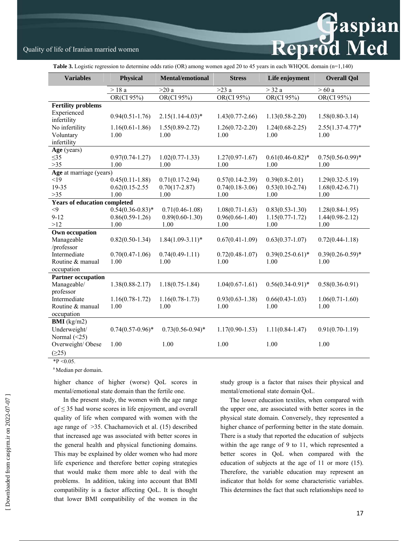# Reprod Med

# Quality of life of Iranian married women

**Table 3.** Logistic regression to determine odds ratio (OR) among women aged 20 to 45 years in each WHQOL domain (n=1,140)

| <b>Variables</b>                    | Physical            | <b>Mental/emotional</b> | <b>Stress</b>       | Life enjoyment        | <b>Overall Qol</b>   |
|-------------------------------------|---------------------|-------------------------|---------------------|-----------------------|----------------------|
|                                     | $>18a$              | >20a                    | $\overline{>}23$ a  | $>$ 32 a              | $>60$ a              |
|                                     | OR(CI 95%)          | OR(CI 95%)              | OR(CI 95%)          | $OR(CI\ 95%)$         | OR(CI 95%)           |
| <b>Fertility problems</b>           |                     |                         |                     |                       |                      |
| Experienced<br>infertility          | $0.94(0.51-1.76)$   | $2.15(1.14-4.03)*$      | $1.43(0.77-2.66)$   | $1.13(0.58 - 2.20)$   | $1.58(0.80-3.14)$    |
| No infertility                      | $1.16(0.61 - 1.86)$ | $1.55(0.89-2.72)$       | $1.26(0.72 - 2.20)$ | $1.24(0.68-2.25)$     | $2.55(1.37 - 4.77)*$ |
| Voluntary                           | 1.00                | 1.00                    | 1.00                | 1.00                  | 1.00                 |
| infertility                         |                     |                         |                     |                       |                      |
| Age (years)                         |                     |                         |                     |                       |                      |
| $\leq$ 35                           | $0.97(0.74-1.27)$   | $1.02(0.77 - 1.33)$     | $1.27(0.97-1.67)$   | $0.61(0.46 - 0.82)$ * | $0.75(0.56-0.99)*$   |
| $>35$                               | 1.00                | 1.00                    | 1.00                | 1.00                  | 1.00                 |
| Age at marriage (years)             |                     |                         |                     |                       |                      |
| <19                                 | $0.45(0.11-1.88)$   | $0.71(0.17-2.94)$       | $0.57(0.14-2.39)$   | $0.39(0.8-2.01)$      | $1.29(0.32 - 5.19)$  |
| 19-35                               | $0.62(0.15 - 2.55)$ | $0.70(17-2.87)$         | $0.74(0.18-3.06)$   | $0.53(0.10-2.74)$     | $1.68(0.42 - 6.71)$  |
| $>35$                               | 1.00                | 1.00                    | 1.00                | 1.00                  | 1.00                 |
| <b>Years of education completed</b> |                     |                         |                     |                       |                      |
| $<$ 9                               | $0.54(0.36-0.83)*$  | $0.71(0.46 - 1.08)$     | $1.08(0.71 - 1.63)$ | $0.83(0.53 - 1.30)$   | $1.28(0.84 - 1.95)$  |
| $9 - 12$                            | $0.86(0.59-1.26)$   | $0.89(0.60 - 1.30)$     | $0.96(0.66 - 1.40)$ | $1.15(0.77 - 1.72)$   | $1.44(0.98-2.12)$    |
| >12                                 | 1.00                | 1.00                    | 1.00                | 1.00                  | 1.00                 |
| Own occupation                      |                     |                         |                     |                       |                      |
| Manageable                          | $0.82(0.50-1.34)$   | $1.84(1.09-3.11)^*$     | $0.67(0.41-1.09)$   | $0.63(0.37-1.07)$     | $0.72(0.44 - 1.18)$  |
| /professor                          |                     |                         |                     |                       |                      |
| Intermediate                        | $0.70(0.47-1.06)$   | $0.74(0.49-1.11)$       | $0.72(0.48-1.07)$   | $0.39(0.25-0.61)$ *   | $0.39(0.26 - 0.59)*$ |
| Routine & manual                    | 1.00                | 1.00                    | 1.00                | 1.00                  | 1.00                 |
| occupation                          |                     |                         |                     |                       |                      |
| <b>Partner occupation</b>           |                     |                         |                     |                       |                      |
| Manageable/                         | $1.38(0.88 - 2.17)$ | $1.18(0.75-1.84)$       | $1.04(0.67 - 1.61)$ | $0.56(0.34-0.91)$ *   | $0.58(0.36 - 0.91)$  |
| professor                           |                     |                         |                     |                       |                      |
| Intermediate                        | $1.16(0.78-1.72)$   | $1.16(0.78-1.73)$       | $0.93(0.63 - 1.38)$ | $0.66(0.43-1.03)$     | $1.06(0.71 - 1.60)$  |
| Routine & manual                    | 1.00                | 1.00                    | 1.00                | 1.00                  | 1.00                 |
| occupation                          |                     |                         |                     |                       |                      |
| <b>BMI</b> ( $kg/m2$ )              |                     |                         |                     |                       |                      |
| Underweight/                        | $0.74(0.57-0.96)$ * | $0.73(0.56-0.94)$ *     | $1.17(0.90 - 1.53)$ | $1.11(0.84-1.47)$     | $0.91(0.70-1.19)$    |
| Normal $(\leq 25)$                  |                     |                         |                     |                       |                      |
| Overweight/Obese                    | 1.00                | 1.00                    | 1.00                | 1.00                  | 1.00                 |
| (225)                               |                     |                         |                     |                       |                      |

 $*P < 0.05$ .

<sup>a</sup> Median per domain.

higher chance of higher (worse) QoL scores in mental/emotional state domain than the fertile one.

In the present study, the women with the age range of ≤ 35 had worse scores in life enjoyment, and overall quality of life when compared with women with the age range of >35. Chachamovich et al. (15) described that increased age was associated with better scores in the general health and physical functioning domains. This may be explained by older women who had more life experience and therefore better coping strategies that would make them more able to deal with the problems. In addition, taking into account that BMI compatibility is a factor affecting QoL. It is thought that lower BMI compatibility of the women in the study group is a factor that raises their physical and mental/emotional state domain QoL.

The lower education textiles, when compared with the upper one, are associated with better scores in the physical state domain. Conversely, they represented a higher chance of performing better in the state domain. There is a study that reported the education of subjects within the age range of 9 to 11, which represented a better scores in QoL when compared with the education of subjects at the age of 11 or more (15). Therefore, the variable education may represent an indicator that holds for some characteristic variables. This determines the fact that such relationships need to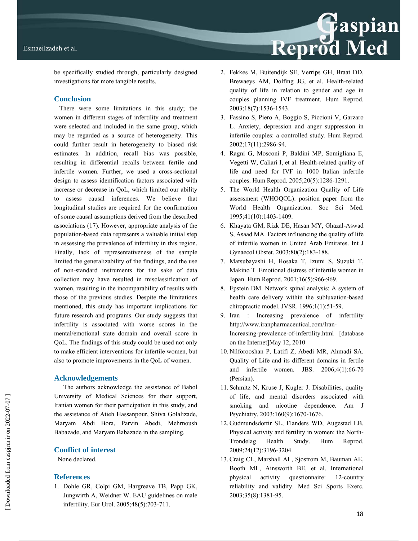

be specifically studied through, particularly designed investigations for more tangible results.

### **Conclusion**

There were some limitations in this study; the women in different stages of infertility and treatment were selected and included in the same group, which may be regarded as a source of heterogeneity. This could further result in heterogeneity to biased risk estimates. In addition, recall bias was possible, resulting in differential recalls between fertile and infertile women. Further, we used a cross-sectional design to assess identification factors associated with increase or decrease in QoL, which limited our ability to assess causal inferences. We believe that longitudinal studies are required for the confirmation of some causal assumptions derived from the described associations (17). However, appropriate analysis of the population-based data represents a valuable initial step in assessing the prevalence of infertility in this region. Finally, lack of representativeness of the sample limited the generalizability of the findings, and the use of non-standard instruments for the sake of data collection may have resulted in misclassification of women, resulting in the incomparability of results with those of the previous studies. Despite the limitations mentioned, this study has important implications for future research and programs. Our study suggests that infertility is associated with worse scores in the mental/emotional state domain and overall score in QoL. The findings of this study could be used not only to make efficient interventions for infertile women, but also to promote improvements in the QoL of women.

#### **Acknowledgements**

The authors acknowledge the assistance of Babol University of Medical Sciences for their support, Iranian women for their participation in this study, and the assistance of Atieh Hassanpour, Shiva Golalizade, Maryam Abdi Bora, Parvin Abedi, Mehrnoush Babazade, and Maryam Babazade in the sampling.

#### **Conflict of interest**

None declared.

# **References**

1. Dohle GR, Colpi GM, Hargreave TB, Papp GK, Jungwirth A, Weidner W. EAU guidelines on male infertility. Eur Urol. 2005;48(5):703-711.

- 2. Fekkes M, Buitendijk SE, Verrips GH, Braat DD, Brewaeys AM, Dolfing JG, et al. Health-related quality of life in relation to gender and age in couples planning IVF treatment. Hum Reprod. 2003;18(7):1536-1543.
- 3. Fassino S, Piero A, Boggio S, Piccioni V, Garzaro L. Anxiety, depression and anger suppression in infertile couples: a controlled study. Hum Reprod. 2002;17(11):2986-94.
- 4. Ragni G, Mosconi P, Baldini MP, Somigliana E, Vegetti W, Caliari I, et al. Health-related quality of life and need for IVF in 1000 Italian infertile couples. Hum Reprod. 2005;20(5):1286-1291.
- 5. The World Health Organization Quality of Life assessment (WHOQOL): position paper from the World Health Organization. Soc Sci Med. 1995;41(10):1403-1409.
- 6. Khayata GM, Rizk DE, Hasan MY, Ghazal-Aswad S, Asaad MA. Factors influencing the quality of life of infertile women in United Arab Emirates. Int J Gynaecol Obstet. 2003;80(2):183-188.
- 7. Matsubayashi H, Hosaka T, Izumi S, Suzuki T, Makino T. Emotional distress of infertile women in Japan. Hum Reprod. 2001;16(5):966-969.
- 8. Epstein DM. Network spinal analysis: A system of health care delivery within the subluxation-based chiropractic model. JVSR. 1996;1(1):51-59.
- 9. Iran : Increasing prevalence of infertility http://www.iranpharmaceutical.com/Iran-Increasing-prevalence-of-infertility.html [database on the Internet]May 12, 2010
- 10. Nilforooshan P, Latifi Z, Abedi MR, Ahmadi SA. Quality of Life and its different domains in fertile and infertile women. JBS. 2006;4(1):66-70 (Persian).
- 11. Schmitz N, Kruse J, Kugler J. Disabilities, quality of life, and mental disorders associated with smoking and nicotine dependence. Am J Psychiatry. 2003;160(9):1670-1676.
- 12. Gudmundsdottir SL, Flanders WD, Augestad LB. Physical activity and fertility in women: the North-Trondelag Health Study. Hum Reprod. 2009;24(12):3196-3204.
- 13. Craig CL, Marshall AL, Sjostrom M, Bauman AE, Booth ML, Ainsworth BE, et al. International physical activity questionnaire: 12-country reliability and validity. Med Sci Sports Exerc. 2003;35(8):1381-95.